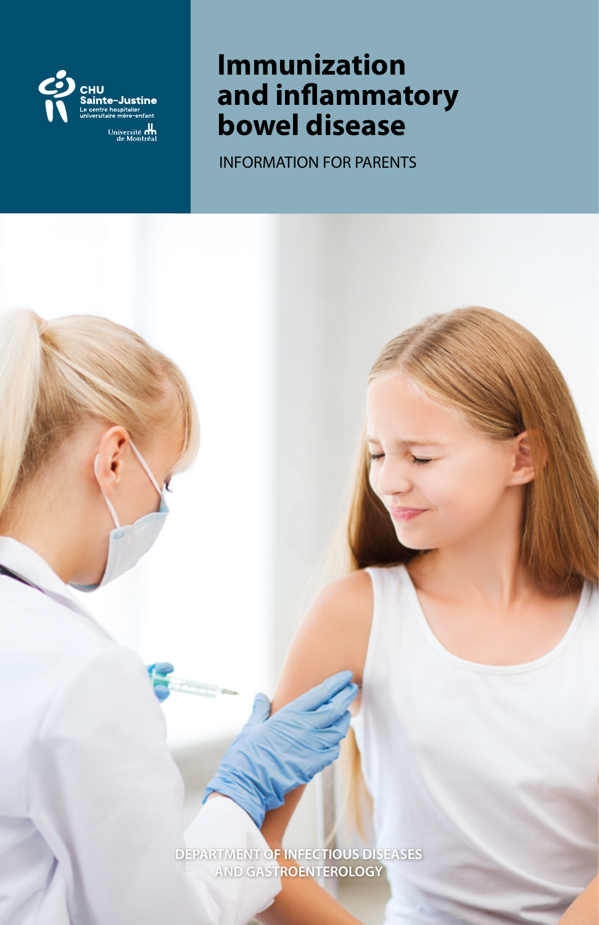

# **Immunization and inflammatory bowel disease**

INFORMATION FOR PARENTS

**DEPARTMENT OF INFECTIOUS DISEASES AND GASTROENTEROLOGY**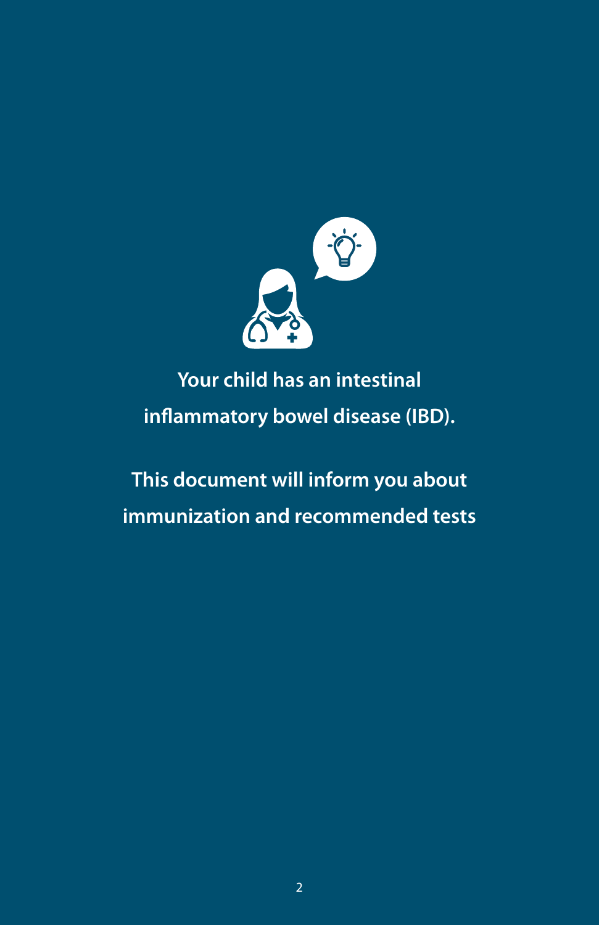

# **Your child has an intestinal inflammatory bowel disease (IBD).**

# **This document will inform you about immunization and recommended tests**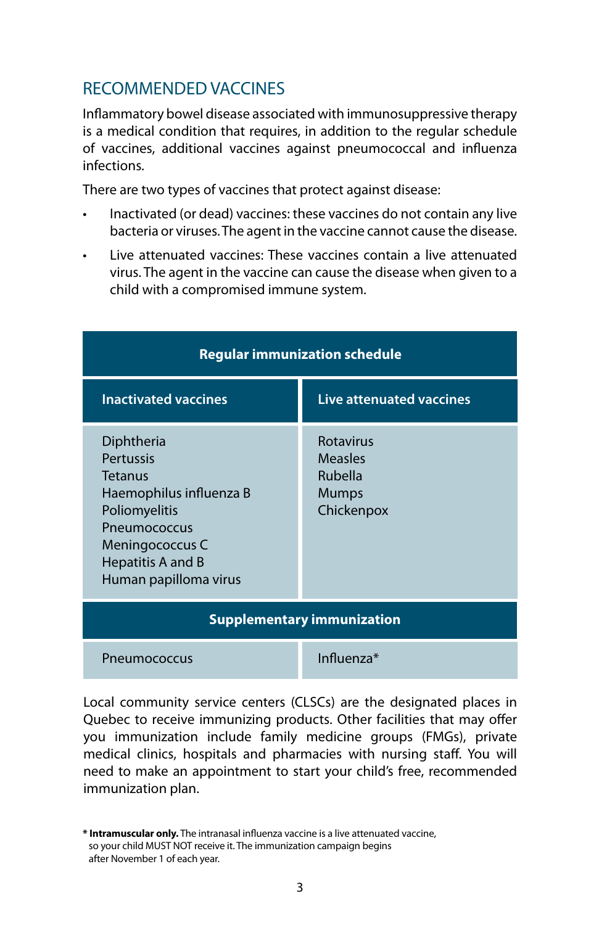## RECOMMENDED VACCINES

Inflammatory bowel disease associated with immunosuppressive therapy is a medical condition that requires, in addition to the regular schedule of vaccines, additional vaccines against pneumococcal and influenza infections.

There are two types of vaccines that protect against disease:

- Inactivated (or dead) vaccines: these vaccines do not contain any live bacteria or viruses. The agent in the vaccine cannot cause the disease.
- Live attenuated vaccines: These vaccines contain a live attenuated virus. The agent in the vaccine can cause the disease when given to a child with a compromised immune system.

| <b>Regular immunization schedule</b>                                                                                                                                          |                                                        |  |
|-------------------------------------------------------------------------------------------------------------------------------------------------------------------------------|--------------------------------------------------------|--|
| <b>Inactivated vaccines</b>                                                                                                                                                   | Live attenuated vaccines                               |  |
| Diphtheria<br><b>Pertussis</b><br><b>Tetanus</b><br>Haemophilus influenza B<br>Poliomyelitis<br>Pneumococcus<br>Meningococcus C<br>Hepatitis A and B<br>Human papilloma virus | Rotavirus<br>Measles<br>Rubella<br>Mumps<br>Chickenpox |  |
| <b>Supplementary immunization</b>                                                                                                                                             |                                                        |  |
| Pneumococcus                                                                                                                                                                  | Influenza*                                             |  |

Local community service centers (CLSCs) are the designated places in Quebec to receive immunizing products. Other facilities that may offer you immunization include family medicine groups (FMGs), private medical clinics, hospitals and pharmacies with nursing staff. You will need to make an appointment to start your child's free, recommended immunization plan.

**<sup>\*</sup> Intramuscular only.** The intranasal influenza vaccine is a live attenuated vaccine, so your child MUST NOT receive it. The immunization campaign begins after November 1 of each year.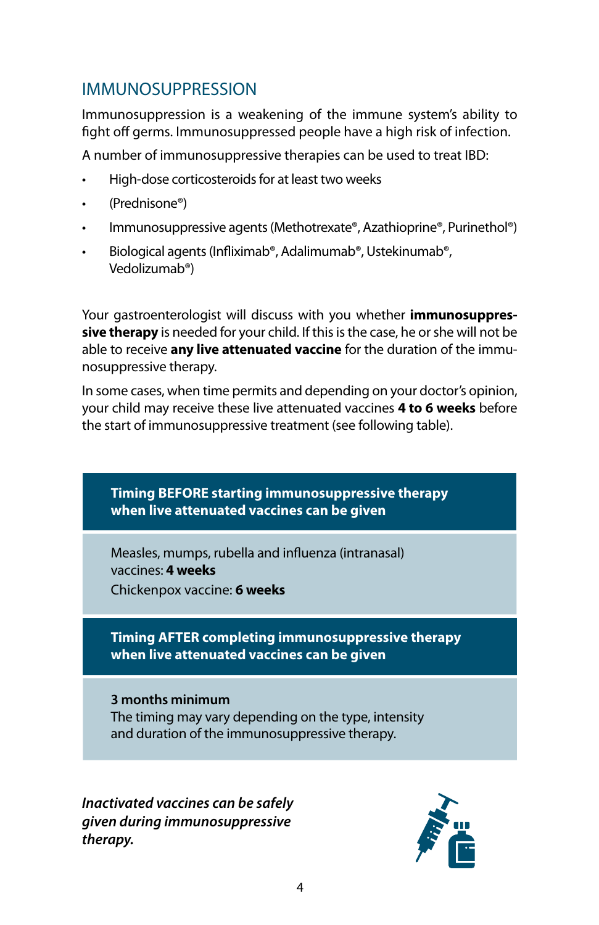## IMMUNOSUPPRESSION

Immunosuppression is a weakening of the immune system's ability to fight off germs. Immunosuppressed people have a high risk of infection.

A number of immunosuppressive therapies can be used to treat IBD:

- High-dose corticosteroids for at least two weeks
- (Prednisone®)
- Immunosuppressive agents (Methotrexate®, Azathioprine®, Purinethol®)
- Biological agents (Infliximab®, Adalimumab®, Ustekinumab®, Vedolizumab®)

Your gastroenterologist will discuss with you whether **immunosuppressive therapy** is needed for your child. If this is the case, he or she will not be able to receive **any live attenuated vaccine** for the duration of the immunosuppressive therapy.

In some cases, when time permits and depending on your doctor's opinion, your child may receive these live attenuated vaccines **4 to 6 weeks** before the start of immunosuppressive treatment (see following table).



*Inactivated vaccines can be safely given during immunosuppressive therapy.*

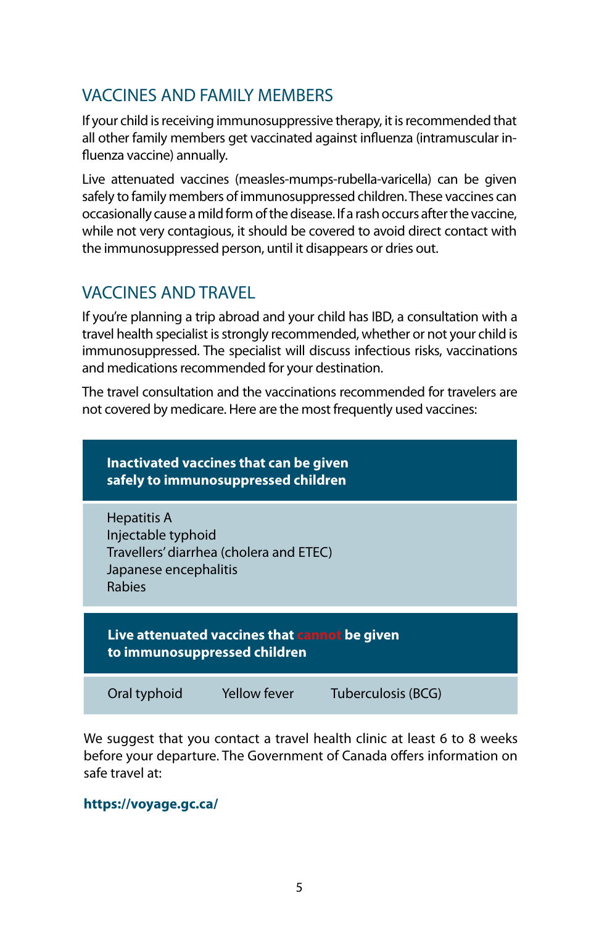# VACCINES AND FAMILY MEMBERS

If your child is receiving immunosuppressive therapy, it is recommended that all other family members get vaccinated against influenza (intramuscular influenza vaccine) annually.

Live attenuated vaccines (measles-mumps-rubella-varicella) can be given safely to family members of immunosuppressed children. These vaccines can occasionally cause a mild form of the disease. If a rash occurs after the vaccine, while not very contagious, it should be covered to avoid direct contact with the immunosuppressed person, until it disappears or dries out.

## VACCINES AND TRAVEL

If you're planning a trip abroad and your child has IBD, a consultation with a travel health specialist is strongly recommended, whether or not your child is immunosuppressed. The specialist will discuss infectious risks, vaccinations and medications recommended for your destination.

The travel consultation and the vaccinations recommended for travelers are not covered by medicare. Here are the most frequently used vaccines:

| Inactivated vaccines that can be given<br>safely to immunosuppressed children                                          |  |  |
|------------------------------------------------------------------------------------------------------------------------|--|--|
| Hepatitis A<br>Injectable typhoid<br>Travellers' diarrhea (cholera and ETEC)<br>Japanese encephalitis<br><b>Rabies</b> |  |  |
| Live attenuated vaccines that cannot be given<br>to immunosuppressed children                                          |  |  |
| Yellow fever<br>Oral typhoid<br>Tuberculosis (BCG)                                                                     |  |  |

We suggest that you contact a travel health clinic at least 6 to 8 weeks before your departure. The Government of Canada offers information on safe travel at:

### **https://voyage.gc.ca/**